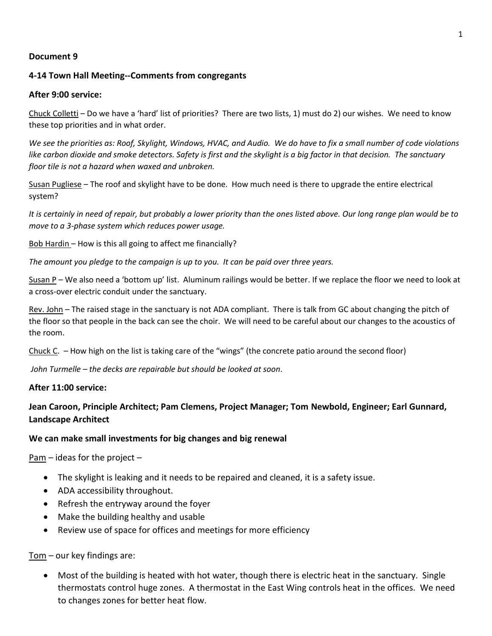### **Document 9**

## **4-14 Town Hall Meeting--Comments from congregants**

### **After 9:00 service:**

Chuck Colletti – Do we have a 'hard' list of priorities? There are two lists, 1) must do 2) our wishes. We need to know these top priorities and in what order.

*We see the priorities as: Roof, Skylight, Windows, HVAC, and Audio. We do have to fix a small number of code violations like carbon dioxide and smoke detectors. Safety is first and the skylight is a big factor in that decision. The sanctuary floor tile is not a hazard when waxed and unbroken.*

Susan Pugliese – The roof and skylight have to be done. How much need is there to upgrade the entire electrical system?

*It is certainly in need of repair, but probably a lower priority than the ones listed above. Our long range plan would be to move to a 3-phase system which reduces power usage.*

Bob Hardin – How is this all going to affect me financially?

*The amount you pledge to the campaign is up to you. It can be paid over three years.* 

Susan P – We also need a 'bottom up' list. Aluminum railings would be better. If we replace the floor we need to look at a cross-over electric conduit under the sanctuary.

Rev. John – The raised stage in the sanctuary is not ADA compliant. There is talk from GC about changing the pitch of the floor so that people in the back can see the choir. We will need to be careful about our changes to the acoustics of the room.

Chuck C. – How high on the list is taking care of the "wings" (the concrete patio around the second floor)

*John Turmelle – the decks are repairable but should be looked at soon*.

### **After 11:00 service:**

# **Jean Caroon, Principle Architect; Pam Clemens, Project Manager; Tom Newbold, Engineer; Earl Gunnard, Landscape Architect**

### **We can make small investments for big changes and big renewal**

 $Pam -$  ideas for the project  $-$ 

- The skylight is leaking and it needs to be repaired and cleaned, it is a safety issue.
- ADA accessibility throughout.
- Refresh the entryway around the foyer
- Make the building healthy and usable
- Review use of space for offices and meetings for more efficiency

Tom – our key findings are:

• Most of the building is heated with hot water, though there is electric heat in the sanctuary. Single thermostats control huge zones. A thermostat in the East Wing controls heat in the offices. We need to changes zones for better heat flow.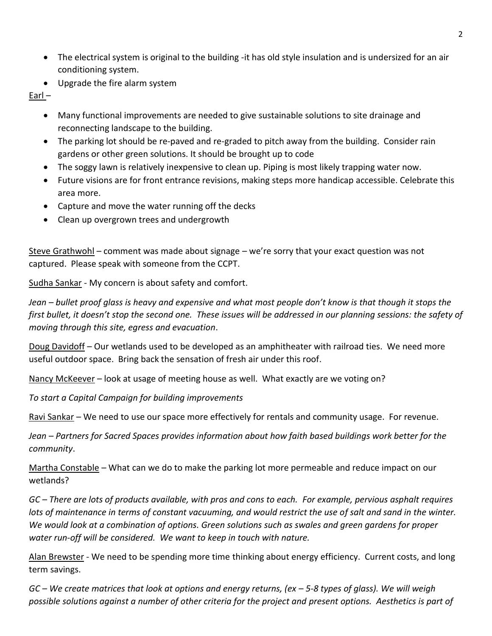- The electrical system is original to the building -it has old style insulation and is undersized for an air conditioning system.
- Upgrade the fire alarm system

Earl –

- Many functional improvements are needed to give sustainable solutions to site drainage and reconnecting landscape to the building.
- The parking lot should be re-paved and re-graded to pitch away from the building. Consider rain gardens or other green solutions. It should be brought up to code
- The soggy lawn is relatively inexpensive to clean up. Piping is most likely trapping water now.
- Future visions are for front entrance revisions, making steps more handicap accessible. Celebrate this area more.
- Capture and move the water running off the decks
- Clean up overgrown trees and undergrowth

Steve Grathwohl – comment was made about signage – we're sorry that your exact question was not captured. Please speak with someone from the CCPT.

Sudha Sankar - My concern is about safety and comfort.

*Jean – bullet proof glass is heavy and expensive and what most people don't know is that though it stops the first bullet, it doesn't stop the second one. These issues will be addressed in our planning sessions: the safety of moving through this site, egress and evacuation*.

Doug Davidoff – Our wetlands used to be developed as an amphitheater with railroad ties. We need more useful outdoor space. Bring back the sensation of fresh air under this roof.

Nancy McKeever – look at usage of meeting house as well. What exactly are we voting on?

*To start a Capital Campaign for building improvements*

Ravi Sankar – We need to use our space more effectively for rentals and community usage. For revenue.

*Jean – Partners for Sacred Spaces provides information about how faith based buildings work better for the community*.

Martha Constable – What can we do to make the parking lot more permeable and reduce impact on our wetlands?

*GC – There are lots of products available, with pros and cons to each. For example, pervious asphalt requires*  lots of maintenance in terms of constant vacuuming, and would restrict the use of salt and sand in the winter. *We would look at a combination of options. Green solutions such as swales and green gardens for proper water run-off will be considered. We want to keep in touch with nature.*

Alan Brewster - We need to be spending more time thinking about energy efficiency. Current costs, and long term savings.

*GC – We create matrices that look at options and energy returns, (ex – 5-8 types of glass). We will weigh possible solutions against a number of other criteria for the project and present options. Aesthetics is part of*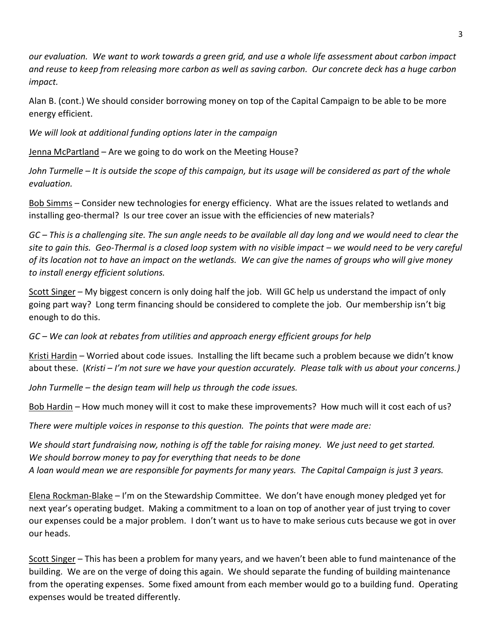*our evaluation. We want to work towards a green grid, and use a whole life assessment about carbon impact and reuse to keep from releasing more carbon as well as saving carbon. Our concrete deck has a huge carbon impact.*

Alan B. (cont.) We should consider borrowing money on top of the Capital Campaign to be able to be more energy efficient.

*We will look at additional funding options later in the campaign*

Jenna McPartland – Are we going to do work on the Meeting House?

*John Turmelle – It is outside the scope of this campaign, but its usage will be considered as part of the whole evaluation.*

Bob Simms – Consider new technologies for energy efficiency. What are the issues related to wetlands and installing geo-thermal? Is our tree cover an issue with the efficiencies of new materials?

*GC – This is a challenging site. The sun angle needs to be available all day long and we would need to clear the site to gain this. Geo-Thermal is a closed loop system with no visible impact – we would need to be very careful of its location not to have an impact on the wetlands. We can give the names of groups who will give money to install energy efficient solutions.*

Scott Singer – My biggest concern is only doing half the job. Will GC help us understand the impact of only going part way? Long term financing should be considered to complete the job. Our membership isn't big enough to do this.

*GC – We can look at rebates from utilities and approach energy efficient groups for help*

Kristi Hardin - Worried about code issues. Installing the lift became such a problem because we didn't know about these. (*Kristi – I'm not sure we have your question accurately. Please talk with us about your concerns.)*

*John Turmelle – the design team will help us through the code issues.* 

Bob Hardin – How much money will it cost to make these improvements? How much will it cost each of us?

*There were multiple voices in response to this question. The points that were made are:*

*We should start fundraising now, nothing is off the table for raising money. We just need to get started. We should borrow money to pay for everything that needs to be done A loan would mean we are responsible for payments for many years. The Capital Campaign is just 3 years.*

Elena Rockman-Blake – I'm on the Stewardship Committee. We don't have enough money pledged yet for next year's operating budget. Making a commitment to a loan on top of another year of just trying to cover our expenses could be a major problem. I don't want us to have to make serious cuts because we got in over our heads.

Scott Singer – This has been a problem for many years, and we haven't been able to fund maintenance of the building. We are on the verge of doing this again. We should separate the funding of building maintenance from the operating expenses. Some fixed amount from each member would go to a building fund. Operating expenses would be treated differently.